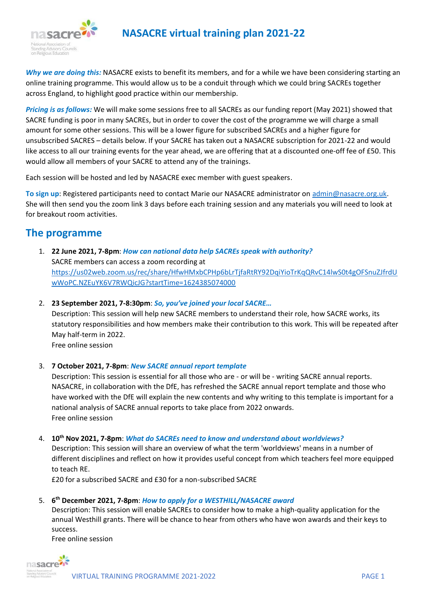

*Why we are doing this:* NASACRE exists to benefit its members, and for a while we have been considering starting an online training programme. This would allow us to be a conduit through which we could bring SACREs together across England, to highlight good practice within our membership.

*Pricing is as follows:* We will make some sessions free to all SACREs as our funding report (May 2021) showed that SACRE funding is poor in many SACREs, but in order to cover the cost of the programme we will charge a small amount for some other sessions. This will be a lower figure for subscribed SACREs and a higher figure for unsubscribed SACRES – details below. If your SACRE has taken out a NASACRE subscription for 2021-22 and would like access to all our training events for the year ahead, we are offering that at a discounted one-off fee of £50. This would allow all members of your SACRE to attend any of the trainings.

Each session will be hosted and led by NASACRE exec member with guest speakers.

**To sign up**: Registered participants need to contact Marie our NASACRE administrator on [admin@nasacre.org.uk.](mailto:admin@nasacre.org.uk) She will then send you the zoom link 3 days before each training session and any materials you will need to look at for breakout room activities.

# **The programme**

- 1. **22 June 2021, 7-8pm**: *How can national data help SACREs speak with authority?* SACRE members can access a zoom recording at [https://us02web.zoom.us/rec/share/HfwHMxbCPHp6bLrTjfaRtRY92DqiYioTrKqQRvC14lwS0t4gOFSnuZJfrdU](https://us02web.zoom.us/rec/share/HfwHMxbCPHp6bLrTjfaRtRY92DqiYioTrKqQRvC14lwS0t4gOFSnuZJfrdUwWoPC.NZEuYK6V7RWQicJG?startTime=1624385074000) [wWoPC.NZEuYK6V7RWQicJG?startTime=1624385074000](https://us02web.zoom.us/rec/share/HfwHMxbCPHp6bLrTjfaRtRY92DqiYioTrKqQRvC14lwS0t4gOFSnuZJfrdUwWoPC.NZEuYK6V7RWQicJG?startTime=1624385074000)
- 2. **23 September 2021, 7-8:30pm**: *So, you've joined your local SACRE…*

Description: This session will help new SACRE members to understand their role, how SACRE works, its statutory responsibilities and how members make their contribution to this work. This will be repeated after May half-term in 2022.

Free online session

3. **7 October 2021, 7-8pm**: *New SACRE annual report template*

Description: This session is essential for all those who are - or will be - writing SACRE annual reports. NASACRE, in collaboration with the DfE, has refreshed the SACRE annual report template and those who have worked with the DfE will explain the new contents and why writing to this template is important for a national analysis of SACRE annual reports to take place from 2022 onwards. Free online session

#### 4. **10th Nov 2021, 7-8pm**: *What do SACREs need to know and understand about worldviews?*

Description: This session will share an overview of what the term 'worldviews' means in a number of different disciplines and reflect on how it provides useful concept from which teachers feel more equipped to teach RE.

£20 for a subscribed SACRE and £30 for a non-subscribed SACRE

## 5. **6 th December 2021, 7-8pm**: *How to apply for a WESTHILL/NASACRE award*

Description: This session will enable SACREs to consider how to make a high-quality application for the annual Westhill grants. There will be chance to hear from others who have won awards and their keys to success.

Free online session